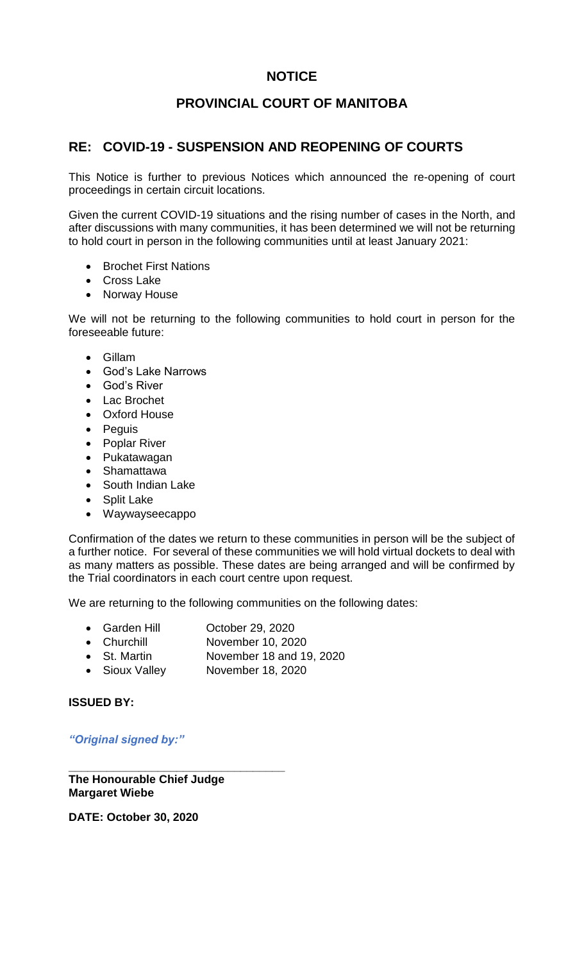# **NOTICE**

# **PROVINCIAL COURT OF MANITOBA**

### **RE: COVID-19 - SUSPENSION AND REOPENING OF COURTS**

This Notice is further to previous Notices which announced the re-opening of court proceedings in certain circuit locations.

Given the current COVID-19 situations and the rising number of cases in the North, and after discussions with many communities, it has been determined we will not be returning to hold court in person in the following communities until at least January 2021:

- Brochet First Nations
- Cross Lake
- Norway House

We will not be returning to the following communities to hold court in person for the foreseeable future:

- Gillam
- God's Lake Narrows
- God's River
- Lac Brochet
- Oxford House
- Peguis
- Poplar River
- Pukatawagan
- Shamattawa
- South Indian Lake
- Split Lake
- Waywayseecappo

Confirmation of the dates we return to these communities in person will be the subject of a further notice. For several of these communities we will hold virtual dockets to deal with as many matters as possible. These dates are being arranged and will be confirmed by the Trial coordinators in each court centre upon request.

We are returning to the following communities on the following dates:

- Garden Hill October 29, 2020
- Churchill November 10, 2020
- St. Martin November 18 and 19, 2020
- Sioux Valley November 18, 2020

**ISSUED BY:**

*"Original signed by:"*

**The Honourable Chief Judge Margaret Wiebe**

**\_\_\_\_\_\_\_\_\_\_\_\_\_\_\_\_\_\_\_\_\_\_\_\_\_\_\_\_\_\_\_\_\_\_**

**DATE: October 30, 2020**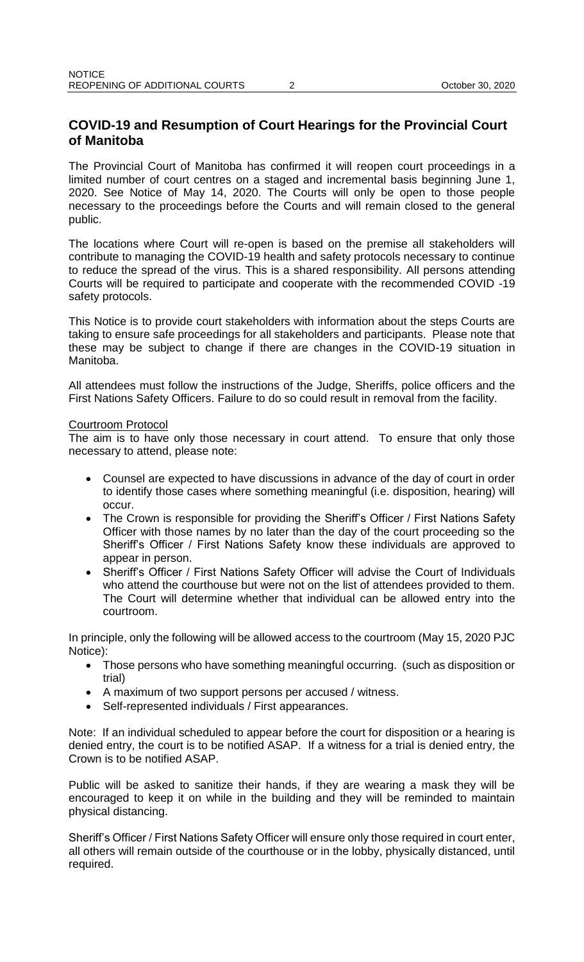# **COVID-19 and Resumption of Court Hearings for the Provincial Court of Manitoba**

The Provincial Court of Manitoba has confirmed it will reopen court proceedings in a limited number of court centres on a staged and incremental basis beginning June 1, 2020. See Notice of May 14, 2020. The Courts will only be open to those people necessary to the proceedings before the Courts and will remain closed to the general public.

The locations where Court will re-open is based on the premise all stakeholders will contribute to managing the COVID-19 health and safety protocols necessary to continue to reduce the spread of the virus. This is a shared responsibility. All persons attending Courts will be required to participate and cooperate with the recommended COVID -19 safety protocols.

This Notice is to provide court stakeholders with information about the steps Courts are taking to ensure safe proceedings for all stakeholders and participants. Please note that these may be subject to change if there are changes in the COVID-19 situation in Manitoba.

All attendees must follow the instructions of the Judge, Sheriffs, police officers and the First Nations Safety Officers. Failure to do so could result in removal from the facility.

#### Courtroom Protocol

The aim is to have only those necessary in court attend. To ensure that only those necessary to attend, please note:

- Counsel are expected to have discussions in advance of the day of court in order to identify those cases where something meaningful (i.e. disposition, hearing) will occur.
- The Crown is responsible for providing the Sheriff's Officer / First Nations Safety Officer with those names by no later than the day of the court proceeding so the Sheriff's Officer / First Nations Safety know these individuals are approved to appear in person.
- Sheriff's Officer / First Nations Safety Officer will advise the Court of Individuals who attend the courthouse but were not on the list of attendees provided to them. The Court will determine whether that individual can be allowed entry into the courtroom.

In principle, only the following will be allowed access to the courtroom (May 15, 2020 PJC Notice):

- Those persons who have something meaningful occurring. (such as disposition or trial)
- A maximum of two support persons per accused / witness.
- Self-represented individuals / First appearances.

Note: If an individual scheduled to appear before the court for disposition or a hearing is denied entry, the court is to be notified ASAP. If a witness for a trial is denied entry, the Crown is to be notified ASAP.

Public will be asked to sanitize their hands, if they are wearing a mask they will be encouraged to keep it on while in the building and they will be reminded to maintain physical distancing.

Sheriff's Officer / First Nations Safety Officer will ensure only those required in court enter, all others will remain outside of the courthouse or in the lobby, physically distanced, until required.